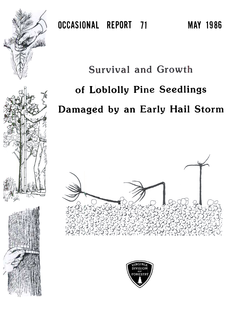

# Survival and Growth

# of Loblolly Pine Seedlings

## Damaged by an Early Hail Storm







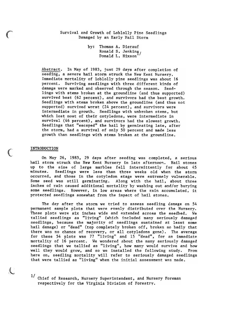Survival and Growth of Loblolly Pine Seedlings Damaged by an Early Hail Storm

> by: Thomas A. Dierauf Ronald S. Jenking, Donald L. Hixson

Abstract. In May of 1983, just 29 days after completion of seeding, a severe hail storm struck the New Kent Nursery. Immediate Mortality of loblolly pine seedlings was about 16 percent. Surviving seedlings with three different kinds of damage were marked and observed through the season. Seedlings with stems broken at the groundline (and thus supported) survived best (62 percent), and survivors had the best growth. Seedlings with stems broken above the groundline (and thus not supported) survived worst (24 percent), and survivors were intermediate in growth. Seedlings with unbroken stems, but which lost most of their cotyledons, were intermediate in survival (46 percent), and survivors had the slowest growth. Seedlings that "escaped" the hail by germinating late, after the storm, had a survival of only 50 percent and made less growth than seedlings with stems broken at the groundline.

#### INTRODUCTION

 $\mathcal{C}$ 

(

 $\hat{\mathbf{v}}$ 

On May 26, 1983, 29 days after seeding was completed, a serious hail storm struck the New Kent Nursery in late afternoon. Hail stones up to the size of large marbles fell intermittently for about 45 minutes. Seedlings were less than three weeks old when the storm occurred, and those in the cotyledon stage were extremely vulnerable. Some seed was still germinating. Along with the hail, about three inches of rain caused additional mortality by washing out and/or burying some seedlings. However, in low areas where the rain accumulated, it protected seedlings somewhat from the impact of hail stones.

The day after the storm we tried to assess seedling damage on 54 permanent sample plots that were evenly distributed over the Nursery. These plots were six inches wide and extended across the seedbed. We tallied seedlings as "living" (which included many seriously damaged seedlings, because the majority of seedlings sustained at least some hail damage) or "dead" (top completely broken off, broken so badly that there was no chance of recovery, or all cotyledons gone). The average for these 54 plots was 77 "living" and 15 "dead", for an immediate mortality of 16 percent. We wondered about the many seriously damaged seedlings that we tallied as "living", how many would survive and how well they would grow, and so we installed the following study. From here on, seedling mortality will refer to seriously damaged seedlings that were tallied as "living" when the initial assessment was made.

1/ Chief of Research, Nursery Superintendent, and Nursery Foreman respectively for the Virginia Division of Forestry.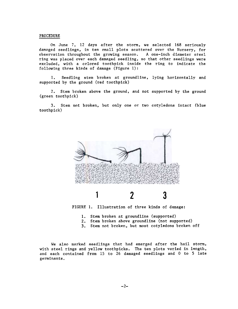#### PROCEDURE

On June 7, 12 days after the storm, we selected  $168$  seriously damaged seedlings, in ten small plots scattered over the Nursery, for observation throughout the growing season. A one-inch diameter steel ring was placed over each damaged seedling, so that other seedlings were excluded, with a cclored toothpick inside the ring to indicate the following three kinds of damage (Figure 1):

l. Seedling stem broken at groundline, lying horizontally and supported by the ground (red toothpick)

2. Stem broken above the ground, and not supported by the ground (green toothpick)

3. Stem not broken, but only one or two cotyledons intact (blue toothpick)





- l. Stem broken at groundline (support
- 2. Stem broken above groundline (not supporte
- 3. Stem not broken, but most cotyledons broken of

We also marked seedlings that had emerged after the hail storm, with steel rings and yellow toothpicks. The ten plots varied in length, and each contained from 15 to 26 damaged seedlings and O to 5 late germinants.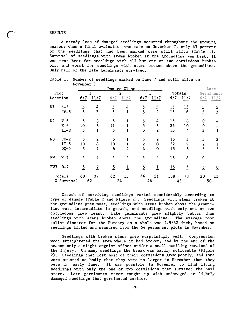#### RESULTS

 $\mathbf{C}$ 

A steady loss of damaged seedlings occurred throughout the growing season; when a final evaluation was made on November 7, only 43 percent of the seedlings that had been marked were still alive (Table 1). Survival of seedlings with stems broken at the groundline was best; it was next best for seedlings with all but one or two cotyledons broken off, and worst for seedlings with stems broken above the groundline. Only half of the late germinants survived.

|                          |         | Damage Class   |                  |                |                |                |                |        |      |                | Late                    |
|--------------------------|---------|----------------|------------------|----------------|----------------|----------------|----------------|--------|------|----------------|-------------------------|
| Plot<br>Location         |         |                |                  | $\overline{2}$ |                | $\overline{3}$ |                | Totals |      | Germinants     |                         |
|                          |         | 6/7            | 11/7             | 6/7            | 11/7           | 6/7            | 11/7           | 6/7    | 11/7 | 6/7            | 11/7                    |
| W1                       | $Z - 3$ | 5              | 4                | 5              | 4              | 5              | 5              | 15     | 13   | 5              | 5                       |
|                          | $FF-5$  | 5              | $\overline{3}$   | 5              | 1              | 5 <sup>5</sup> | $\overline{2}$ | 15     | 6    | 5              | $\overline{\mathbf{3}}$ |
| W <sub>2</sub>           | $V-6$   | 5              | 3                | 5              |                | 5              | 4              | 15     | 8    | $\mathbf 0$    |                         |
|                          | $X-6$   | 10             | 6                | 11             |                | 5              | 3              | 26     | 10   | 0              |                         |
|                          | $II-8$  | 5              | $\mathbf 1$      | 5              |                | 5              | $\overline{2}$ | 15     | 4    | 3              | $\mathbf{1}$            |
| W3                       | $CC-2$  | 5              | $\overline{2}$   | 5              |                | 5              | $\mathbf{2}$   | 15     | 5    | 5              | $\mathbf{2}$            |
|                          | $II-5$  | 10             | 8                | 10             |                | $\overline{2}$ | $\bf{0}$       | 22     | 9    | $\overline{2}$ | 1                       |
|                          | $QQ-5$  | 5              | 4                | 6              | $\overline{2}$ | 4              | $\mathbf 0$    | 15     | 6    | 5              | $\overline{\mathbf{3}}$ |
| FW1                      | $K-7$   | 5              | 4                | 5              | $\overline{2}$ | 5              | $\overline{2}$ | 15     | 8    | $\mathbf 0$    |                         |
| FW3                      | $D-7$   | $\overline{5}$ | $\boldsymbol{2}$ | $\overline{2}$ | $\mathbf{1}$   | $\overline{5}$ | 1              | 15     | 4    | $\overline{2}$ | 0                       |
| Totals                   |         | 60             | 37               | 62             | 15             | 46             | 21             | 168    | 73   | 30             | 15                      |
| <b><i>Z</i></b> Survival |         | 62             |                  | 24             |                | 46             |                | 43     |      | 50             |                         |

Table 1. Number of seedlings marked on June 7 and still alive on November 7

Growth of surviving seedlings varied considerably according to type of damage (Table 2 and Figure 2). Seedlings with stems broken at the groundline grew most, seedlings with stems broken above the groundline were intermediate in growth, and seedlings with only one or two cotyledons grew least. Late germinants grew slightly better than seedlings with stems broken above the groundline. The average root collar diameter for the Nursery as a whole was 4.9/32 inch, based on seedlings lifted and measured from the 54 permanent plots in November.

Seedlings with broken stems grew surprisingly well. Compression wood straightened the stem where it had broken, and by the end of the season only a slight angular offset and/or a small swelling remained of the injury. On many seedlings the break was hardly noticeable (Figure 2). Seedlings that lost most of their cotyledons grew poorly, and some were stunted so badly that they were no larger in November than they were in early June. It was possible in November to find living seedlings with only the one or two cotyledons that survived the hail storm. Late germinants never caught up with undamaged or lightly damaged seedlings that germinated earlier.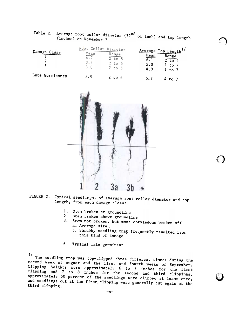|                 |                    | Root Collar Diameter                          | Average Top Length <sup>1</sup>                                  |  |  |
|-----------------|--------------------|-----------------------------------------------|------------------------------------------------------------------|--|--|
| Damage<br>Class | Mean<br>3.7<br>3.0 | Range<br>$2$ to $8$<br>$2$ to $6$<br>$2$ to 5 | Mean<br>Range<br>6.1<br>to 9<br>5.0<br>1 to r<br>4.0<br>$l$ to 7 |  |  |
| Late Germinants | 3.9                | $2$ to $6$                                    | EΩ                                                               |  |  |

<sup>Table</sup> 2. Average root collar diameter (32<sup>nd</sup> of inch) and top length

~

,f" **,** 

 $_{\ell}$ V

(inches) on November 7



- FIGURE 2. Typical seedlings, of average root collar diameter and top length, from each damage class:
	- 1. Stem broken at groundl
	- 2. Stem broken above groundl
	- 3. Stem not broken, but most cotyledons broken of a. Average size
		- b. Shrubby seedling that frequently resulted from this kind of damage
	- \* Typical late germinant

 $1/$ 

The seedling crop was top-clipped three different times: during the set second week of August and the first and fourth weeks  $\sigma$  september. Clipping heights were approximately 6 to 7 inches for the fir clipping and 7 to 8 inches for the second and third clipping Approximately 50 percent of the seedlings were clipped at least once, and seedlings cut at the first clipping were generally cut it is controlled third clipping.